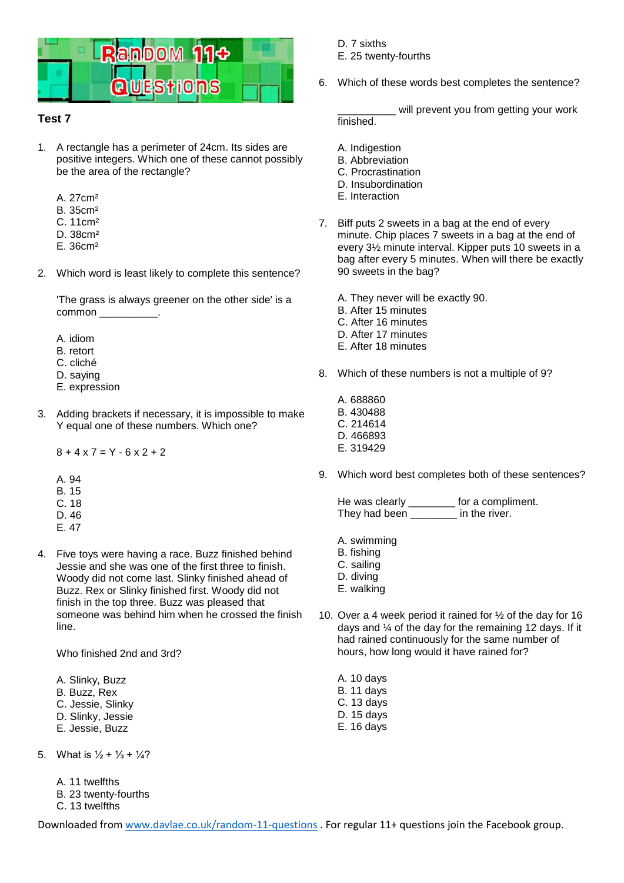

## **Test 7**

- 1. A rectangle has a perimeter of 24cm. Its sides are positive integers. Which one of these cannot possibly be the area of the rectangle?
	- A. 27cm²
	- B. 35cm²
	- C. 11cm²
	- D. 38cm²
	- E. 36cm²
- 2. Which word is least likely to complete this sentence?

'The grass is always greener on the other side' is a common \_\_\_

- A. idiom
- B. retort
- C. cliché
- D. saying
- E. expression
- 3. Adding brackets if necessary, it is impossible to make Y equal one of these numbers. Which one?

 $8 + 4 \times 7 = Y - 6 \times 2 + 2$ 

- A. 94
- B. 15
- C. 18 D. 46
- E. 47
- 4. Five toys were having a race. Buzz finished behind Jessie and she was one of the first three to finish. Woody did not come last. Slinky finished ahead of Buzz. Rex or Slinky finished first. Woody did not finish in the top three. Buzz was pleased that someone was behind him when he crossed the finish line.

Who finished 2nd and 3rd?

- A. Slinky, Buzz
- B. Buzz, Rex
- C. Jessie, Slinky
- D. Slinky, Jessie
- E. Jessie, Buzz
- 5. What is  $\frac{1}{2} + \frac{1}{3} + \frac{1}{4}$ ?
	- A. 11 twelfths

B. 23 twenty-fourths

C. 13 twelfths

- D. 7 sixths
- E. 25 twenty-fourths
- 6. Which of these words best completes the sentence?

will prevent you from getting your work finished.

- A. Indigestion
- B. Abbreviation
- C. Procrastination
- D. Insubordination
- E. Interaction
- 7. Biff puts 2 sweets in a bag at the end of every minute. Chip places 7 sweets in a bag at the end of every 3½ minute interval. Kipper puts 10 sweets in a bag after every 5 minutes. When will there be exactly 90 sweets in the bag?

A. They never will be exactly 90. B. After 15 minutes C. After 16 minutes

- D. After 17 minutes
- E. After 18 minutes
- 8. Which of these numbers is not a multiple of 9?
	- A. 688860 B. 430488 C. 214614 D. 466893 E. 319429
- 9. Which word best completes both of these sentences?

He was clearly \_\_\_\_\_\_\_\_ for a compliment. They had been \_\_\_\_\_\_\_\_ in the river.

- A. swimming
- B. fishing
- C. sailing
- D. diving
- E. walking
- 10. Over a 4 week period it rained for ½ of the day for 16 days and ¼ of the day for the remaining 12 days. If it had rained continuously for the same number of hours, how long would it have rained for?
	- A. 10 days B. 11 days C. 13 days D. 15 days
	- E. 16 days

Downloaded fro[m www.davlae.co.uk/random-11-questions](http://www.davlae.co.uk/random-11-questions) . For regular 11+ questions join the Facebook group.